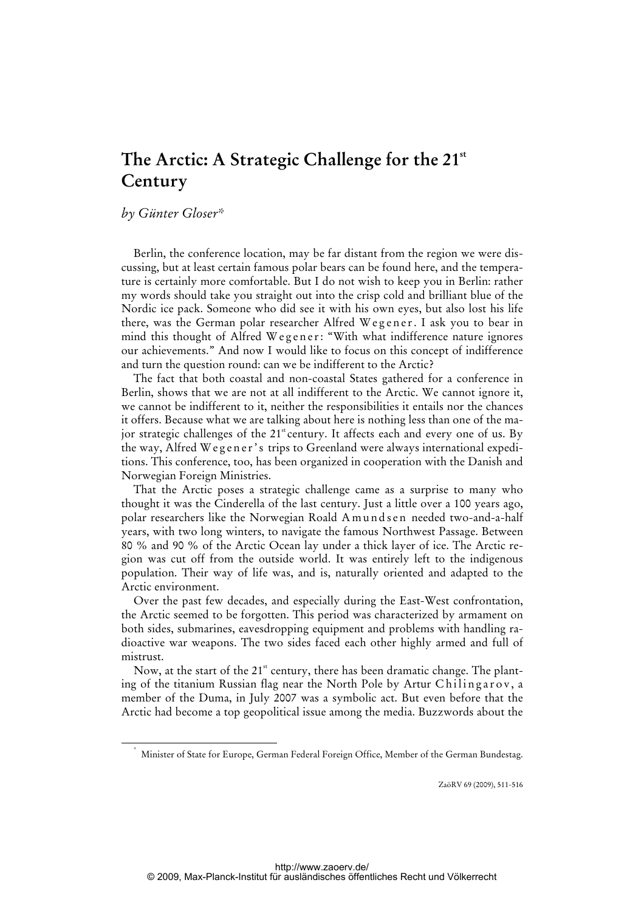# The Arctic: A Strategic Challenge for the 21<sup>st</sup> **Century**

## *by Günter Gloser\**

\*

Berlin, the conference location, may be far distant from the region we were discussing, but at least certain famous polar bears can be found here, and the temperature is certainly more comfortable. But I do not wish to keep you in Berlin: rather my words should take you straight out into the crisp cold and brilliant blue of the Nordic ice pack. Someone who did see it with his own eyes, but also lost his life there, was the German polar researcher Alfred Wegener. I ask you to bear in mind this thought of Alfred Wegener: "With what indifference nature ignores our achievements." And now I would like to focus on this concept of indifference and turn the question round: can we be indifferent to the Arctic?

The fact that both coastal and non-coastal States gathered for a conference in Berlin, shows that we are not at all indifferent to the Arctic. We cannot ignore it, we cannot be indifferent to it, neither the responsibilities it entails nor the chances it offers. Because what we are talking about here is nothing less than one of the major strategic challenges of the  $21^{\text{st}}$  century. It affects each and every one of us. By the way, Alfred W egener's trips to Greenland were always international expeditions. This conference, too, has been organized in cooperation with the Danish and Norwegian Foreign Ministries.

That the Arctic poses a strategic challenge came as a surprise to many who thought it was the Cinderella of the last century. Just a little over a 100 years ago, polar researchers like the Norwegian Roald A m u n d s e n needed two-and-a-half years, with two long winters, to navigate the famous Northwest Passage. Between 80 % and 90 % of the Arctic Ocean lay under a thick layer of ice. The Arctic region was cut off from the outside world. It was entirely left to the indigenous population. Their way of life was, and is, naturally oriented and adapted to the Arctic environment.

Over the past few decades, and especially during the East-West confrontation, the Arctic seemed to be forgotten. This period was characterized by armament on both sides, submarines, eavesdropping equipment and problems with handling radioactive war weapons. The two sides faced each other highly armed and full of mistrust.

Now, at the start of the  $21<sup>st</sup>$  century, there has been dramatic change. The planting of the titanium Russian flag near the North Pole by Artur Chilingarov, a member of the Duma, in July 2007 was a symbolic act. But even before that the Arctic had become a top geopolitical issue among the media. Buzzwords about the

ZaöRV 69 (2009), 511-516

Minister of State for Europe, German Federal Foreign Office, Member of the German Bundestag.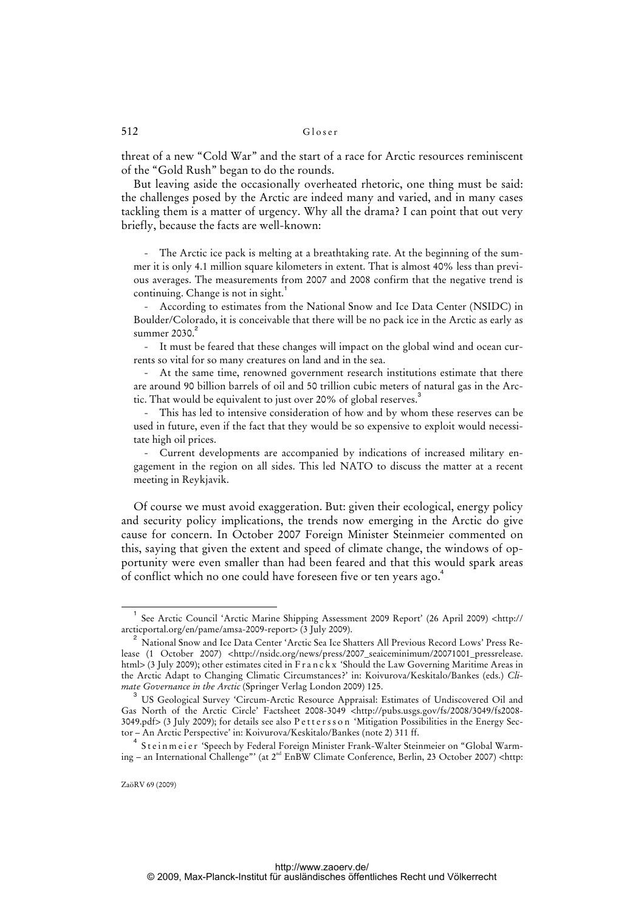#### 512 Gloser

threat of a new "Cold War" and the start of a race for Arctic resources reminiscent of the "Gold Rush" began to do the rounds.

But leaving aside the occasionally overheated rhetoric, one thing must be said: the challenges posed by the Arctic are indeed many and varied, and in many cases tackling them is a matter of urgency. Why all the drama? I can point that out very briefly, because the facts are well-known:

The Arctic ice pack is melting at a breathtaking rate. At the beginning of the summer it is only 4.1 million square kilometers in extent. That is almost 40% less than previous averages. The measurements from 2007 and 2008 confirm that the negative trend is continuing. Change is not in sight.<sup>1</sup>

- According to estimates from the National Snow and Ice Data Center (NSIDC) in Boulder/Colorado, it is conceivable that there will be no pack ice in the Arctic as early as summer  $2030.<sup>2</sup>$ 

- It must be feared that these changes will impact on the global wind and ocean currents so vital for so many creatures on land and in the sea.

At the same time, renowned government research institutions estimate that there are around 90 billion barrels of oil and 50 trillion cubic meters of natural gas in the Arctic. That would be equivalent to just over 20% of global reserves.<sup>3</sup>

This has led to intensive consideration of how and by whom these reserves can be used in future, even if the fact that they would be so expensive to exploit would necessitate high oil prices.

- Current developments are accompanied by indications of increased military engagement in the region on all sides. This led NATO to discuss the matter at a recent meeting in Reykjavik.

Of course we must avoid exaggeration. But: given their ecological, energy policy and security policy implications, the trends now emerging in the Arctic do give cause for concern. In October 2007 Foreign Minister Steinmeier commented on this, saying that given the extent and speed of climate change, the windows of opportunity were even smaller than had been feared and that this would spark areas of conflict which no one could have foreseen five or ten years ago.<sup>4</sup>

 $\overline{\phantom{0}}$ <sub>1</sub>  [See Arctic Council 'Arctic Marine Shipping Assessment 2009 Report' \(26 April 2009\) <http://](http://arcticportal.org/en/pame/amsa-2009-report) arcticportal.org/en/pame/amsa-2009-report> (3 July 2009).

<sup>&</sup>lt;sup>2</sup> National Snow and Ice Data Center 'Arctic Sea Ice Shatters All Previous Record Lows' Press Release (1 October 2007) <[http://nsidc.org/news/press/2007\\_seaiceminimum/20071001\\_pressrelease.](http://nsidc.org/news/press/2007_seaiceminimum/20071001_pressrelease) html> (3 July 2009); other estimates cited in F r a n c k x 'Should the Law Governing Maritime Areas in the Arctic Adapt to Changing Climatic Circumstances?' in: Koivurova/Keskitalo/Bankes (eds.) *Climate Governance in the Arctic* (Springer Verlag London 2009) 125.

<sup>&</sup>lt;sup>3</sup> US Geological Survey 'Circum-Arctic Resource Appraisal: Estimates of Undiscovered Oil and Gas North of the Arctic Circle' Factsheet 2008-3049 [<http://pubs.usgs.gov/fs/2008/3049/fs2008-](http://pubs.usgs.gov/fs/2008/3049/fs2008-) 3049.pdf> (3 July 2009); for details see also P e t t e r s s o n 'Mitigation Possibilities in the Energy Sector – An Arctic Perspective' in: Koivurova/Keskitalo/Bankes (note 2) 311 ff.

<sup>&</sup>lt;sup>4</sup> Steinmeier 'Speech by Federal Foreign Minister Frank-Walter Steinmeier on "Global Warming – an International Challenge"' (at 2<sup>nd</sup> EnBW Climate Conference, Berlin, 23 October 2007) <http: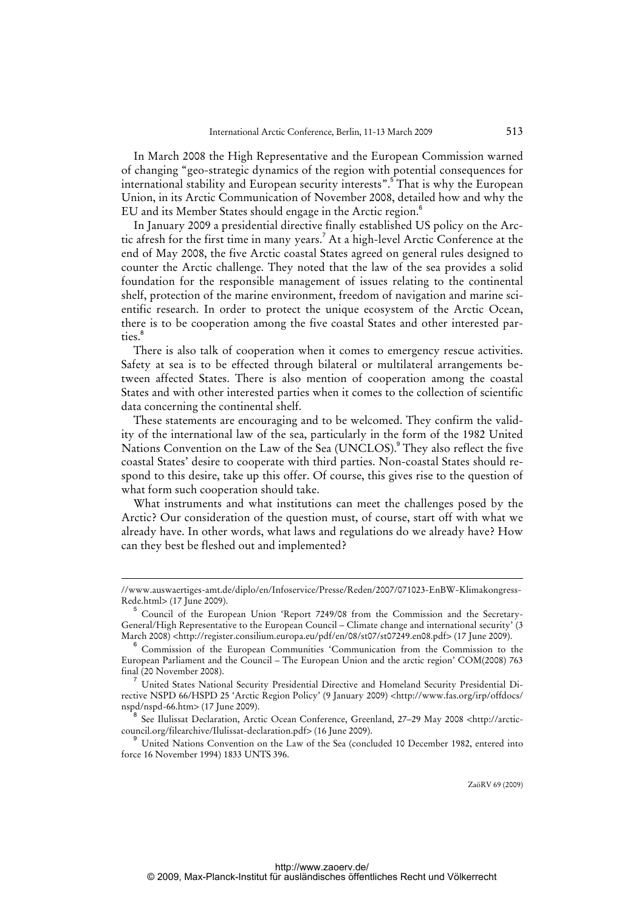In March 2008 the High Representative and the European Commission warned of changing "geo-strategic dynamics of the region with potential consequences for international stability and European security interests".<sup>5</sup> That is why the European Union, in its Arctic Communication of November 2008, detailed how and why the EU and its Member States should engage in the Arctic region.<sup>6</sup>

In January 2009 a presidential directive finally established US policy on the Arctic afresh for the first time in many years.<sup>7</sup> At a high-level Arctic Conference at the end of May 2008, the five Arctic coastal States agreed on general rules designed to counter the Arctic challenge. They noted that the law of the sea provides a solid foundation for the responsible management of issues relating to the continental shelf, protection of the marine environment, freedom of navigation and marine scientific research. In order to protect the unique ecosystem of the Arctic Ocean, there is to be cooperation among the five coastal States and other interested parties.<sup>8</sup>

There is also talk of cooperation when it comes to emergency rescue activities. Safety at sea is to be effected through bilateral or multilateral arrangements between affected States. There is also mention of cooperation among the coastal States and with other interested parties when it comes to the collection of scientific data concerning the continental shelf.

These statements are encouraging and to be welcomed. They confirm the validity of the international law of the sea, particularly in the form of the 1982 United Nations Convention on the Law of the Sea (UNCLOS).<sup>9</sup> They also reflect the five coastal States' desire to cooperate with third parties. Non-coastal States should respond to this desire, take up this offer. Of course, this gives rise to the question of what form such cooperation should take.

What instruments and what institutions can meet the challenges posed by the Arctic? Our consideration of the question must, of course, start off with what we already have. In other words, what laws and regulations do we already have? How can they best be fleshed out and implemented?

l

ZaöRV 69 (2009)

<sup>//</sup>www.auswaertiges-amt.de/diplo/en/Infoservice/Presse/Reden/2007/071023-EnBW-Klimakongress-Rede.html> (17 June 2009).

<sup>5</sup> Council of the European Union 'Report 7249/08 from the Commission and the Secretary-General/High Representative to the European Council – Climate change and international security' (3 March 2008) <[http://register.consilium.europa.eu/pdf/en/08/st07/st07249.en08.pdf>](http://register.consilium.europa.eu/pdf/en/08/st07/st07249.en08.pdf) (17 June 2009).

<sup>6</sup> Commission of the European Communities 'Communication from the Commission to the European Parliament and the Council – The European Union and the arctic region' COM(2008) 763 final (20 November 2008).

<sup>7</sup> United States National Security Presidential Directive and Homeland Security Presidential Directive NSPD 66/HSPD 25 'Arctic Region Policy' (9 January 2009) [<http://www.fas.org/irp/offdocs/](http://www.fas.org/irp/offdocs/) nspd/nspd-66.htm> (17 June 2009).

<sup>8</sup>  [See Ilulissat Declaration, Arctic Ocean Conference, Greenland, 27–29 May 2008 <http://arctic](http://arctic-council)council.org/filearchive/Ilulissat-declaration.pdf> (16 June 2009).

<sup>9</sup> United Nations Convention on the Law of the Sea (concluded 10 December 1982, entered into force 16 November 1994) 1833 UNTS 396.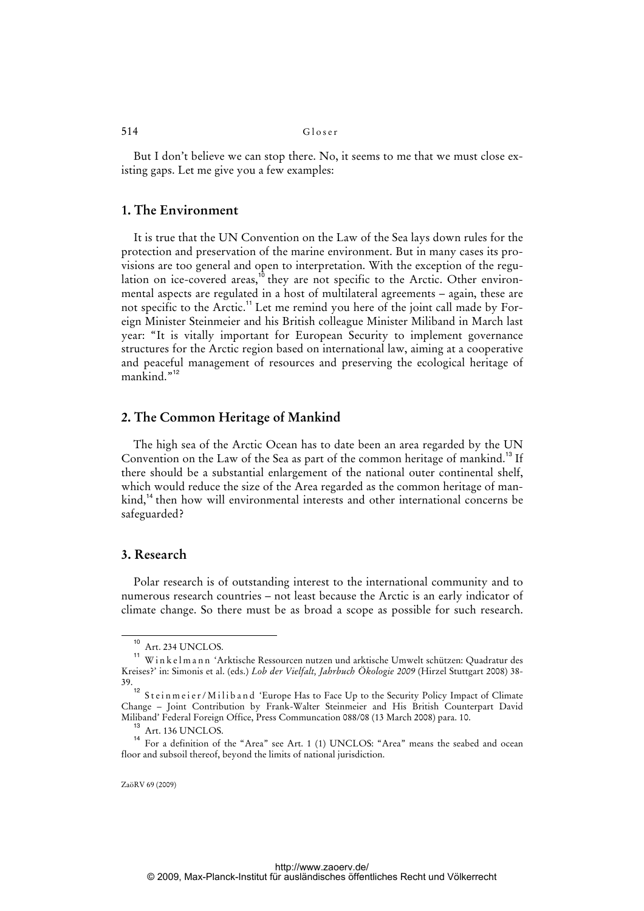#### 514 Gloser

But I don't believe we can stop there. No, it seems to me that we must close existing gaps. Let me give you a few examples:

## **1. The Environment**

 It is true that the UN Convention on the Law of the Sea lays down rules for the protection and preservation of the marine environment. But in many cases its provisions are too general and open to interpretation. With the exception of the regulation on ice-covered areas,<sup>10</sup> they are not specific to the Arctic. Other environmental aspects are regulated in a host of multilateral agreements – again, these are not specific to the Arctic.<sup>11</sup> Let me remind you here of the joint call made by Foreign Minister Steinmeier and his British colleague Minister Miliband in March last year: "It is vitally important for European Security to implement governance structures for the Arctic region based on international law, aiming at a cooperative and peaceful management of resources and preserving the ecological heritage of mankind."<sup>12</sup>

## **2. The Common Heritage of Mankind**

 The high sea of the Arctic Ocean has to date been an area regarded by the UN Convention on the Law of the Sea as part of the common heritage of mankind.<sup>13</sup> If there should be a substantial enlargement of the national outer continental shelf, which would reduce the size of the Area regarded as the common heritage of mankind,<sup>14</sup> then how will environmental interests and other international concerns be safeguarded?

## **3. Research**

 Polar research is of outstanding interest to the international community and to numerous research countries – not least because the Arctic is an early indicator of climate change. So there must be as broad a scope as possible for such research.

<sup>10</sup> Art. 234 UNCLOS.

<sup>11</sup> W i n k e l m a n n 'Arktische Ressourcen nutzen und arktische Umwelt schützen: Quadratur des Kreises?' in: Simonis et al. (eds.) *Lob der Vielfalt, Jahrbuch Ökologie 2009* (Hirzel Stuttgart 2008) 38- 39.

<sup>.&</sup>lt;br><sup>12</sup> Steinmeier/Miliband 'Europe Has to Face Up to the Security Policy Impact of Climate Change – Joint Contribution by Frank-Walter Steinmeier and His British Counterpart David Miliband' Federal Foreign Office, Press Communcation 088/08 (13 March 2008) para. 10.

Art. 136 UNCLOS.

<sup>&</sup>lt;sup>14</sup> For a definition of the "Area" see Art. 1 (1) UNCLOS: "Area" means the seabed and ocean floor and subsoil thereof, beyond the limits of national jurisdiction.

ZaöRV 69 (2009)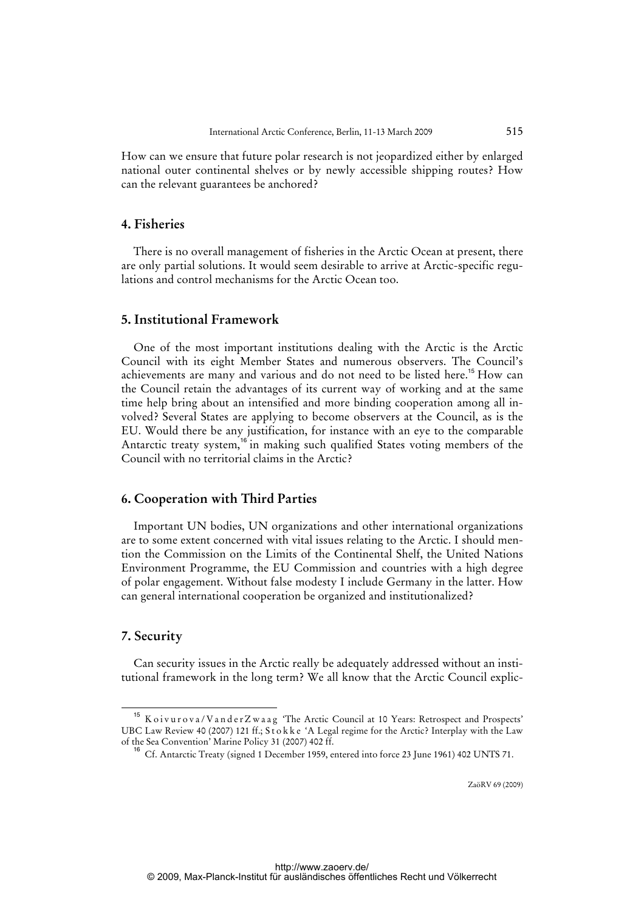How can we ensure that future polar research is not jeopardized either by enlarged national outer continental shelves or by newly accessible shipping routes? How can the relevant guarantees be anchored?

## **4. Fisheries**

 There is no overall management of fisheries in the Arctic Ocean at present, there are only partial solutions. It would seem desirable to arrive at Arctic-specific regulations and control mechanisms for the Arctic Ocean too.

## **5. Institutional Framework**

 One of the most important institutions dealing with the Arctic is the Arctic Council with its eight Member States and numerous observers. The Council's achievements are many and various and do not need to be listed here.<sup>15</sup> How can the Council retain the advantages of its current way of working and at the same time help bring about an intensified and more binding cooperation among all involved? Several States are applying to become observers at the Council, as is the EU. Would there be any justification, for instance with an eye to the comparable Antarctic treaty system,<sup>16</sup> in making such qualified States voting members of the Council with no territorial claims in the Arctic?

## **6. Cooperation with Third Parties**

 Important UN bodies, UN organizations and other international organizations are to some extent concerned with vital issues relating to the Arctic. I should mention the Commission on the Limits of the Continental Shelf, the United Nations Environment Programme, the EU Commission and countries with a high degree of polar engagement. Without false modesty I include Germany in the latter. How can general international cooperation be organized and institutionalized?

## **7. Security**

 Can security issues in the Arctic really be adequately addressed without an institutional framework in the long term? We all know that the Arctic Council explic-

ZaöRV 69 (2009)

<sup>&</sup>lt;sup>15</sup> K o i v u r o v a / V a n d e r Z w a a g 'The Arctic Council at 10 Years: Retrospect and Prospects' UBC Law Review 40 (2007) 121 ff.; S t o k k e 'A Legal regime for the Arctic? Interplay with the Law of the Sea Convention' Marine Policy 31 (2007) 402 ff.

<sup>16</sup> Cf. Antarctic Treaty (signed 1 December 1959, entered into force 23 June 1961) 402 UNTS 71.